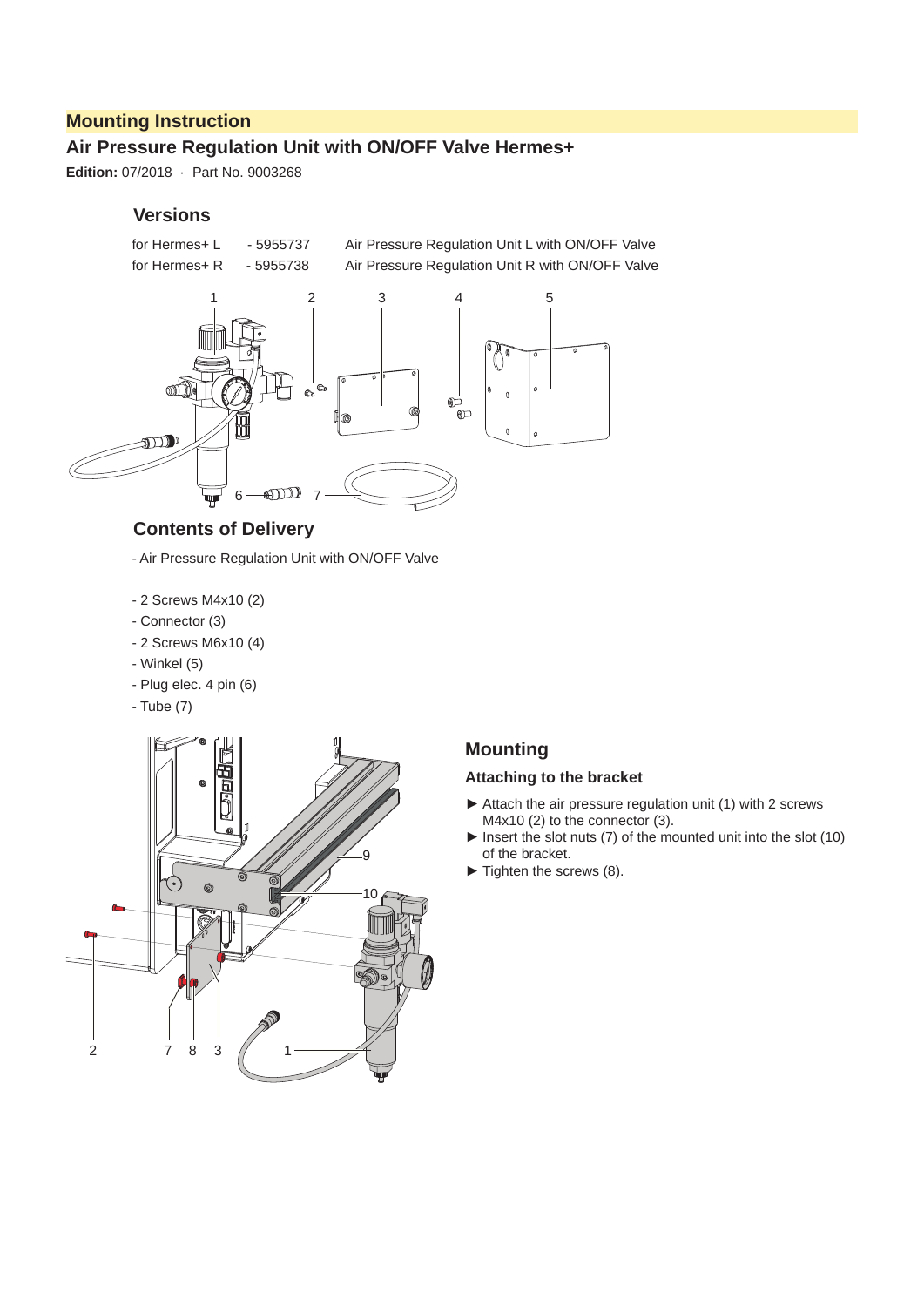## **Mounting Instruction**

# **Air Pressure Regulation Unit with ON/OFF Valve Hermes+**

**Edition:** 07/2018 · Part No. 9003268

#### **Versions**



### **Contents of Delivery**

- Air Pressure Regulation Unit with ON/OFF Valve
- 2 Screws M4x10 (2)
- Connector (3)
- 2 Screws M6x10 (4)
- Winkel (5)
- Plug elec. 4 pin (6)
- Tube (7)



# **Mounting**

#### **Attaching to the bracket**

- ► Attach the air pressure regulation unit (1) with 2 screws M4x10 (2) to the connector (3).
- ► Insert the slot nuts (7) of the mounted unit into the slot (10) of the bracket.
- ► Tighten the screws (8).